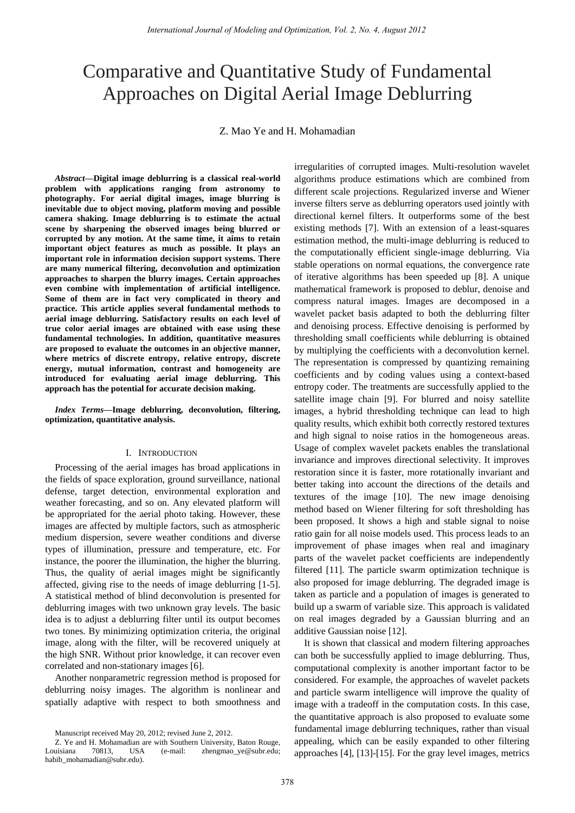# Comparative and Quantitative Study of Fundamental Approaches on Digital Aerial Image Deblurring

Z. Mao Ye and H. Mohamadian

*Abstract***—Digital image deblurring is a classical real-world problem with applications ranging from astronomy to photography. For aerial digital images, image blurring is inevitable due to object moving, platform moving and possible camera shaking. Image deblurring is to estimate the actual scene by sharpening the observed images being blurred or corrupted by any motion. At the same time, it aims to retain important object features as much as possible. It plays an important role in information decision support systems. There are many numerical filtering, deconvolution and optimization approaches to sharpen the blurry images. Certain approaches even combine with implementation of artificial intelligence. Some of them are in fact very complicated in theory and practice. This article applies several fundamental methods to aerial image deblurring. Satisfactory results on each level of true color aerial images are obtained with ease using these fundamental technologies. In addition, quantitative measures are proposed to evaluate the outcomes in an objective manner, where metrics of discrete entropy, relative entropy, discrete energy, mutual information, contrast and homogeneity are introduced for evaluating aerial image deblurring. This approach has the potential for accurate decision making.** 

*Index Terms***—Image deblurring, deconvolution, filtering, optimization, quantitative analysis.** 

## I. INTRODUCTION

Processing of the aerial images has broad applications in the fields of space exploration, ground surveillance, national defense, target detection, environmental exploration and weather forecasting, and so on. Any elevated platform will be appropriated for the aerial photo taking. However, these images are affected by multiple factors, such as atmospheric medium dispersion, severe weather conditions and diverse types of illumination, pressure and temperature, etc. For instance, the poorer the illumination, the higher the blurring. Thus, the quality of aerial images might be significantly affected, giving rise to the needs of image deblurring [1-5]. A statistical method of blind deconvolution is presented for deblurring images with two unknown gray levels. The basic idea is to adjust a deblurring filter until its output becomes two tones. By minimizing optimization criteria, the original image, along with the filter, will be recovered uniquely at the high SNR. Without prior knowledge, it can recover even correlated and non-stationary images [6].

Another nonparametric regression method is proposed for deblurring noisy images. The algorithm is nonlinear and spatially adaptive with respect to both smoothness and irregularities of corrupted images. Multi-resolution wavelet algorithms produce estimations which are combined from different scale projections. Regularized inverse and Wiener inverse filters serve as deblurring operators used jointly with directional kernel filters. It outperforms some of the best existing methods [7]. With an extension of a least-squares estimation method, the multi-image deblurring is reduced to the computationally efficient single-image deblurring. Via stable operations on normal equations, the convergence rate of iterative algorithms has been speeded up [8]. A unique mathematical framework is proposed to deblur, denoise and compress natural images. Images are decomposed in a wavelet packet basis adapted to both the deblurring filter and denoising process. Effective denoising is performed by thresholding small coefficients while deblurring is obtained by multiplying the coefficients with a deconvolution kernel. The representation is compressed by quantizing remaining coefficients and by coding values using a context-based entropy coder. The treatments are successfully applied to the satellite image chain [9]. For blurred and noisy satellite images, a hybrid thresholding technique can lead to high quality results, which exhibit both correctly restored textures and high signal to noise ratios in the homogeneous areas. Usage of complex wavelet packets enables the translational invariance and improves directional selectivity. It improves restoration since it is faster, more rotationally invariant and better taking into account the directions of the details and textures of the image [10]. The new image denoising method based on Wiener filtering for soft thresholding has been proposed. It shows a high and stable signal to noise ratio gain for all noise models used. This process leads to an improvement of phase images when real and imaginary parts of the wavelet packet coefficients are independently filtered [11]. The particle swarm optimization technique is also proposed for image deblurring. The degraded image is taken as particle and a population of images is generated to build up a swarm of variable size. This approach is validated on real images degraded by a Gaussian blurring and an additive Gaussian noise [12].

It is shown that classical and modern filtering approaches can both be successfully applied to image deblurring. Thus, computational complexity is another important factor to be considered. For example, the approaches of wavelet packets and particle swarm intelligence will improve the quality of image with a tradeoff in the computation costs. In this case, the quantitative approach is also proposed to evaluate some fundamental image deblurring techniques, rather than visual appealing, which can be easily expanded to other filtering approaches [4], [13]-[15]. For the gray level images, metrics

Manuscript received May 20, 2012; revised June 2, 2012.

Z. Ye and H. Mohamadian are with Southern University, Baton Rouge, Louisiana 70813, USA (e-mail: zhengmao\_ye@subr.edu; habib\_mohamadian@subr.edu).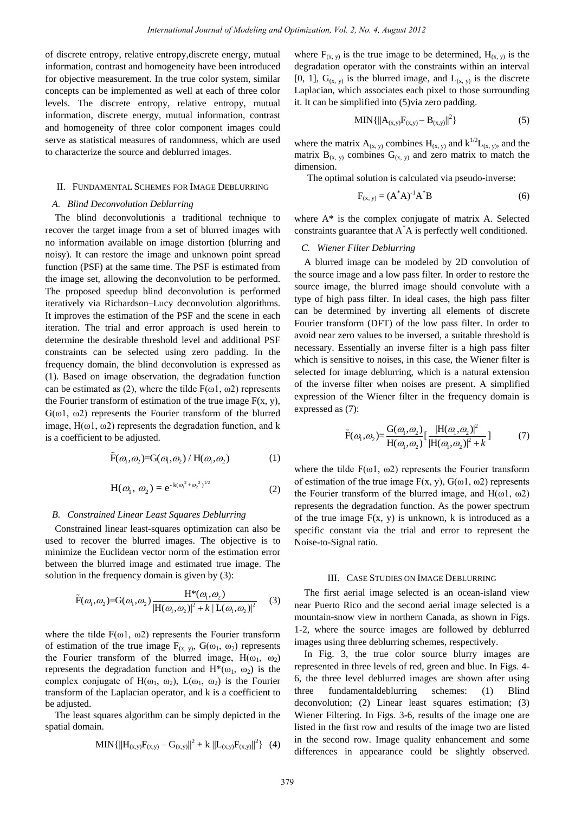of discrete entropy, relative entropy,discrete energy, mutual information, contrast and homogeneity have been introduced for objective measurement. In the true color system, similar concepts can be implemented as well at each of three color levels. The discrete entropy, relative entropy, mutual information, discrete energy, mutual information, contrast and homogeneity of three color component images could serve as statistical measures of randomness, which are used to characterize the source and deblurred images.

## II. FUNDAMENTAL SCHEMES FOR IMAGE DEBLURRING

#### *A. Blind Deconvolution Deblurring*

The blind deconvolutionis a traditional technique to recover the target image from a set of blurred images with no information available on image distortion (blurring and noisy). It can restore the image and unknown point spread function (PSF) at the same time. The PSF is estimated from the image set, allowing the deconvolution to be performed. The proposed speedup blind deconvolution is performed iteratively via Richardson–Lucy deconvolution algorithms. It improves the estimation of the PSF and the scene in each iteration. The trial and error approach is used herein to determine the desirable threshold level and additional PSF constraints can be selected using zero padding. In the frequency domain, the blind deconvolution is expressed as (1). Based on image observation, the degradation function can be estimated as (2), where the tilde  $F(\omega 1, \omega 2)$  represents the Fourier transform of estimation of the true image  $F(x, y)$ ,  $G(\omega)$ ,  $\omega$ 2) represents the Fourier transform of the blurred image,  $H(\omega 1, \omega 2)$  represents the degradation function, and k is a coefficient to be adjusted.

$$
\tilde{F}(\omega_1,\omega_2) = G(\omega_1,\omega_2) / H(\omega_1,\omega_2)
$$
 (1)

$$
H(\omega_1, \omega_2) = e^{-k(\omega_1^2 + \omega_2^2)^{1/2}}
$$
 (2)

#### *B. Constrained Linear Least Squares Deblurring*

Constrained linear least-squares optimization can also be used to recover the blurred images. The objective is to minimize the Euclidean vector norm of the estimation error between the blurred image and estimated true image. The

solution in the frequency domain is given by (3):  
\n
$$
\tilde{F}(\omega_1, \omega_2) = G(\omega_1, \omega_2) \frac{H^*(\omega_1, \omega_2)}{|H(\omega_1, \omega_2)|^2 + k |L(\omega_1, \omega_2)|^2}
$$
\n(3)

where the tilde  $F(\omega 1, \omega 2)$  represents the Fourier transform of estimation of the true image  $F_{(x, y)}$ ,  $G(\omega_1, \omega_2)$  represents the Fourier transform of the blurred image,  $H(\omega_1, \omega_2)$ represents the degradation function and  $H^*(\omega_1, \omega_2)$  is the complex conjugate of H( $\omega_1$ ,  $\omega_2$ ), L( $\omega_1$ ,  $\omega_2$ ) is the Fourier transform of the Laplacian operator, and k is a coefficient to be adjusted.

The least squares algorithm can be simply depicted in the spatial domain.

MIN{ 
$$
||H_{(x,y)}F_{(x,y)} - G_{(x,y)}||^2 + k ||L_{(x,y)}F_{(x,y)}||^2
$$
 } (4)

where  $F_{(x, y)}$  is the true image to be determined,  $H_{(x, y)}$  is the degradation operator with the constraints within an interval [0, 1],  $G_{(x, y)}$  is the blurred image, and  $L_{(x, y)}$  is the discrete Laplacian, which associates each pixel to those surrounding it. It can be simplified into (5)via zero padding.

MIN{ 
$$
||A_{(x,y)}F_{(x,y)} - B_{(x,y)}||^2
$$
 } (5)

where the matrix  $A_{(x, y)}$  combines  $H_{(x, y)}$  and  $k^{1/2}L_{(x, y)}$ , and the matrix  $B_{(x, y)}$  combines  $G_{(x, y)}$  and zero matrix to match the dimension.

The optimal solution is calculated via pseudo-inverse:

$$
F_{(x, y)} = (A^*A)^{-1}A^*B
$$
 (6)

where  $A^*$  is the complex conjugate of matrix A. Selected constraints guarantee that A\*A is perfectly well conditioned.

## *C. Wiener Filter Deblurring*

A blurred image can be modeled by 2D convolution of the source image and a low pass filter. In order to restore the source image, the blurred image should convolute with a type of high pass filter. In ideal cases, the high pass filter can be determined by inverting all elements of discrete Fourier transform (DFT) of the low pass filter. In order to avoid near zero values to be inversed, a suitable threshold is necessary. Essentially an inverse filter is a high pass filter which is sensitive to noises, in this case, the Wiener filter is selected for image deblurring, which is a natural extension of the inverse filter when noises are present. A simplified expression of the Wiener filter in the frequency domain is expressed as (7):

$$
\tilde{F}(\omega_1, \omega_2) = \frac{G(\omega_1, \omega_2)}{H(\omega_1, \omega_2)} \left[ \frac{|H(\omega_1, \omega_2)|^2}{|H(\omega_1, \omega_2)|^2 + k} \right] \tag{7}
$$

where the tilde  $F(\omega 1, \omega 2)$  represents the Fourier transform of estimation of the true image  $F(x, y)$ ,  $G(\omega 1, \omega 2)$  represents the Fourier transform of the blurred image, and  $H(\omega_1, \omega_2)$ represents the degradation function. As the power spectrum of the true image  $F(x, y)$  is unknown, k is introduced as a specific constant via the trial and error to represent the Noise-to-Signal ratio.

#### III. CASE STUDIES ON IMAGE DEBLURRING

The first aerial image selected is an ocean-island view near Puerto Rico and the second aerial image selected is a mountain-snow view in northern Canada, as shown in Figs. 1-2, where the source images are followed by deblurred images using three deblurring schemes, respectively.

In Fig. 3, the true color source blurry images are represented in three levels of red, green and blue. In Figs. 4- 6, the three level deblurred images are shown after using three fundamentaldeblurring schemes: (1) Blind deconvolution; (2) Linear least squares estimation; (3) Wiener Filtering. In Figs. 3-6, results of the image one are listed in the first row and results of the image two are listed in the second row. Image quality enhancement and some differences in appearance could be slightly observed.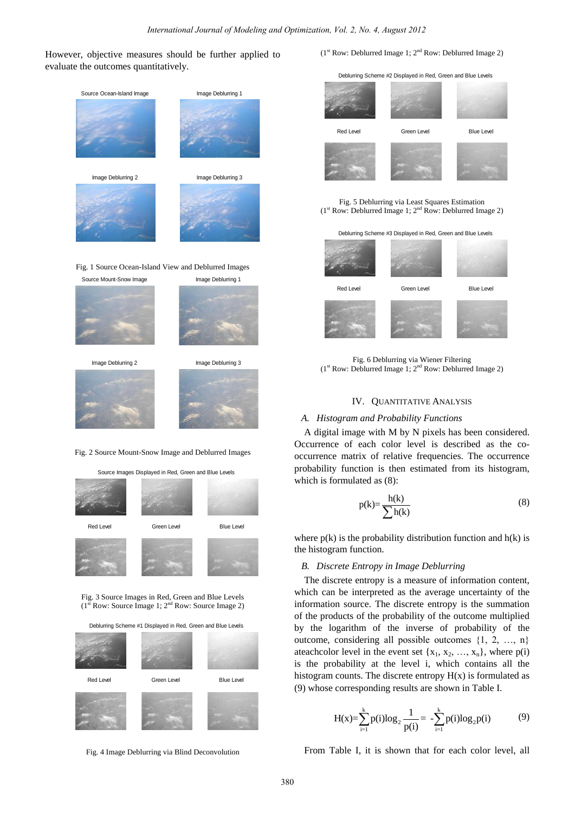However, objective measures should be further applied to evaluate the outcomes quantitatively.



Fig. 1 Source Ocean-Island View and Deblurred Images



Fig. 2 Source Mount-Snow Image and Deblurred Images



Fig. 3 Source Images in Red, Green and Blue Levels  $(1<sup>st</sup> Row: Source Image 1; 2<sup>nd</sup> Row: Source Image 2)$ 

Deblurring Scheme #1 Displayed in Red, Green and Blue Levels



Fig. 4 Image Deblurring via Blind Deconvolution

 $(1<sup>st</sup> Row: Deblurred Image 1; 2<sup>nd</sup> Row: Deblurred Image 2)$ 

Deblurring Scheme #2 Displayed in Red, Green and Blue Levels Red Level Green Level Blue Level

Fig. 5 Deblurring via Least Squares Estimation  $(1<sup>st</sup> Row: Deblurred Image 1; 2<sup>nd</sup> Row: Deblurred Image 2)$ 



Fig. 6 Deblurring via Wiener Filtering  $(1<sup>st</sup> Row: Deblurred Image 1; 2<sup>nd</sup> Row: Deblurred Image 2)$ 

# IV. QUANTITATIVE ANALYSIS

# *A. Histogram and Probability Functions*

A digital image with M by N pixels has been considered. Occurrence of each color level is described as the cooccurrence matrix of relative frequencies. The occurrence probability function is then estimated from its histogram, which is formulated as (8):

$$
p(k) = \frac{h(k)}{\sum h(k)}\tag{8}
$$

where  $p(k)$  is the probability distribution function and  $h(k)$  is the histogram function.

#### *B. Discrete Entropy in Image Deblurring*

The discrete entropy is a measure of information content, which can be interpreted as the average uncertainty of the information source. The discrete entropy is the summation of the products of the probability of the outcome multiplied by the logarithm of the inverse of probability of the outcome, considering all possible outcomes  $\{1, 2, ..., n\}$ ateachcolor level in the event set  $\{x_1, x_2, ..., x_n\}$ , where  $p(i)$ is the probability at the level i, which contains all the histogram counts. The discrete entropy  $H(x)$  is formulated as (9) whose corresponding results are shown in Table I.

$$
H(x) = \sum_{i=1}^{k} p(i) \log_2 \frac{1}{p(i)} = -\sum_{i=1}^{k} p(i) \log_2 p(i)
$$
(9)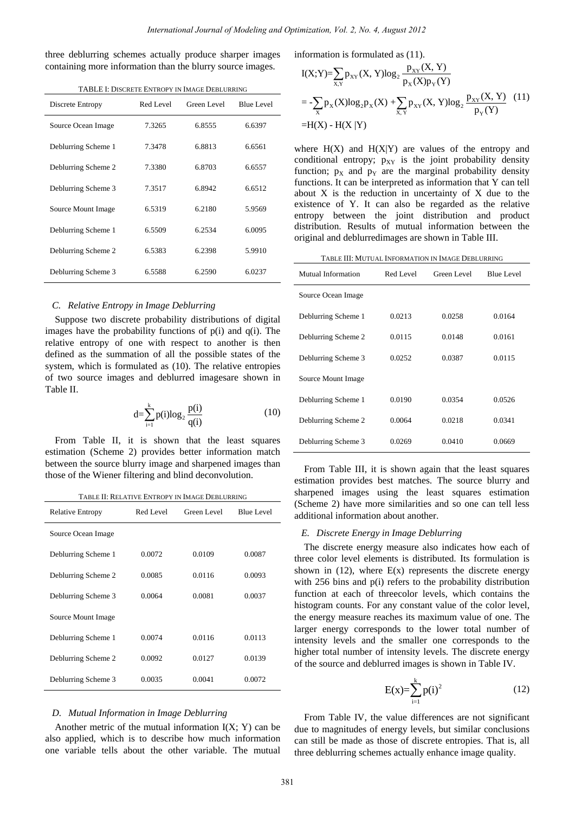three deblurring schemes actually produce sharper images containing more information than the blurry source images.

| Discrete Entropy    | Red Level | Green Level | <b>Blue Level</b> |
|---------------------|-----------|-------------|-------------------|
| Source Ocean Image  | 7.3265    | 6.8555      | 6.6397            |
| Deblurring Scheme 1 | 7.3478    | 6.8813      | 6.6561            |
| Deblurring Scheme 2 | 7.3380    | 6.8703      | 6.6557            |
| Deblurring Scheme 3 | 7.3517    | 6.8942      | 6.6512            |
| Source Mount Image  | 6.5319    | 6.2180      | 5.9569            |
| Deblurring Scheme 1 | 6.5509    | 6.2534      | 6.0095            |
| Deblurring Scheme 2 | 6.5383    | 6.2398      | 5.9910            |
| Deblurring Scheme 3 | 6.5588    | 6.2590      | 6.0237            |

TABLE I: DISCRETE ENTROPY IN IMAGE DEBLURRING

#### *C. Relative Entropy in Image Deblurring*

Suppose two discrete probability distributions of digital images have the probability functions of  $p(i)$  and  $q(i)$ . The relative entropy of one with respect to another is then defined as the summation of all the possible states of the system, which is formulated as (10). The relative entropies of two source images and deblurred imagesare shown in Table II.

$$
d = \sum_{i=1}^{k} p(i) \log_2 \frac{p(i)}{q(i)}
$$
 (10)

From Table II, it is shown that the least squares estimation (Scheme 2) provides better information match between the source blurry image and sharpened images than those of the Wiener filtering and blind deconvolution.

| TABLE II: RELATIVE ENTROPY IN IMAGE DEBLURRING |  |
|------------------------------------------------|--|
|------------------------------------------------|--|

| <b>Relative Entropy</b> | Red Level | Green Level | <b>Blue Level</b> |
|-------------------------|-----------|-------------|-------------------|
| Source Ocean Image      |           |             |                   |
| Deblurring Scheme 1     | 0.0072    | 0.0109      | 0.0087            |
| Deblurring Scheme 2     | 0.0085    | 0.0116      | 0.0093            |
| Deblurring Scheme 3     | 0.0064    | 0.0081      | 0.0037            |
| Source Mount Image      |           |             |                   |
| Deblurring Scheme 1     | 0.0074    | 0.0116      | 0.0113            |
| Deblurring Scheme 2     | 0.0092    | 0.0127      | 0.0139            |
| Deblurring Scheme 3     | 0.0035    | 0.0041      | 0.0072            |

# *D. Mutual Information in Image Deblurring*

Another metric of the mutual information  $I(X; Y)$  can be also applied, which is to describe how much information one variable tells about the other variable. The mutual information is formulated as (11).

formation is formulated as (11).  
\n
$$
I(X;Y) = \sum_{X,Y} p_{XY}(X, Y) \log_2 \frac{p_{XY}(X, Y)}{p_X(X)p_Y(Y)}
$$
\n
$$
= -\sum_{X} p_X(X) \log_2 p_X(X) + \sum_{X,Y} p_{XY}(X, Y) \log_2 \frac{p_{XY}(X, Y)}{p_Y(Y)} \quad (11)
$$
\n
$$
= H(X) - H(X | Y)
$$

where  $H(X)$  and  $H(X|Y)$  are values of the entropy and conditional entropy;  $p_{XY}$  is the joint probability density function;  $p_X$  and  $p_Y$  are the marginal probability density functions. It can be interpreted as information that Y can tell about X is the reduction in uncertainty of X due to the existence of Y. It can also be regarded as the relative entropy between the joint distribution and product distribution. Results of mutual information between the original and deblurredimages are shown in Table III.

| Mutual Information  | Red Level | Green Level | Blue Level |
|---------------------|-----------|-------------|------------|
| Source Ocean Image  |           |             |            |
| Deblurring Scheme 1 | 0.0213    | 0.0258      | 0.0164     |
| Deblurring Scheme 2 | 0.0115    | 0.0148      | 0.0161     |
| Deblurring Scheme 3 | 0.0252    | 0.0387      | 0.0115     |
| Source Mount Image  |           |             |            |
| Deblurring Scheme 1 | 0.0190    | 0.0354      | 0.0526     |
| Deblurring Scheme 2 | 0.0064    | 0.0218      | 0.0341     |
| Deblurring Scheme 3 | 0.0269    | 0.0410      | 0.0669     |

From Table III, it is shown again that the least squares estimation provides best matches. The source blurry and sharpened images using the least squares estimation (Scheme 2) have more similarities and so one can tell less additional information about another.

#### *E. Discrete Energy in Image Deblurring*

The discrete energy measure also indicates how each of three color level elements is distributed. Its formulation is shown in  $(12)$ , where  $E(x)$  represents the discrete energy with 256 bins and  $p(i)$  refers to the probability distribution function at each of threecolor levels, which contains the histogram counts. For any constant value of the color level, the energy measure reaches its maximum value of one. The larger energy corresponds to the lower total number of intensity levels and the smaller one corresponds to the higher total number of intensity levels. The discrete energy of the source and deblurred images is shown in Table IV.  $\frac{1}{\pi}$  p(1) (16)<br>
(a) Beblurring Scheme 2 0.0044 0.0218 0.31<br>
shown that the least squares<br>
mings chemes 3 0.0269 0.0410 0.0669<br>
convides better information match<br>
image and sharpned image scheme 3 0.0269 0.0410 0.066

$$
E(x) = \sum_{i=1}^{k} p(i)^2
$$
 (12)

From Table IV, the value differences are not significant due to magnitudes of energy levels, but similar conclusions can still be made as those of discrete entropies. That is, all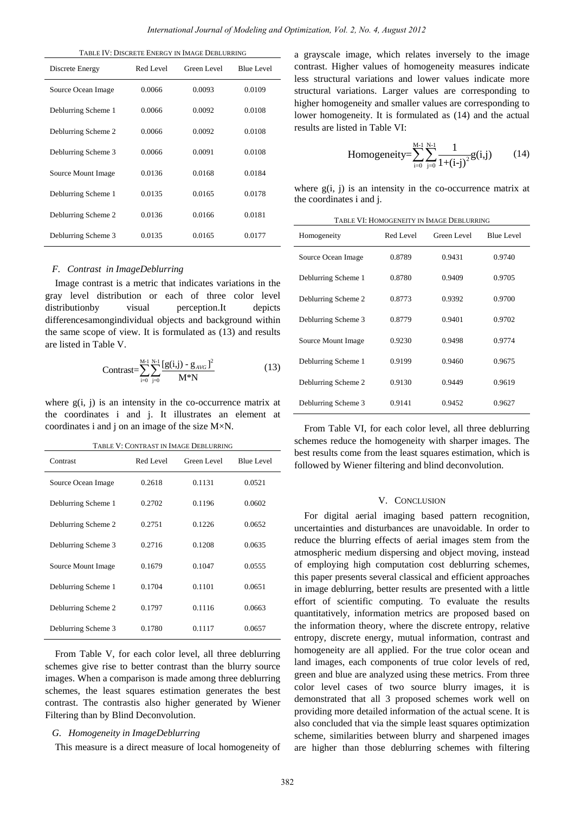| TABLE IV: DISCRETE ENERGY IN IMAGE DEBLURRING |           |             |            |
|-----------------------------------------------|-----------|-------------|------------|
| Discrete Energy                               | Red Level | Green Level | Blue Level |
| Source Ocean Image                            | 0.0066    | 0.0093      | 0.0109     |
| Deblurring Scheme 1                           | 0.0066    | 0.0092      | 0.0108     |
| Deblurring Scheme 2                           | 0.0066    | 0.0092      | 0.0108     |
| Deblurring Scheme 3                           | 0.0066    | 0.0091      | 0.0108     |
| Source Mount Image                            | 0.0136    | 0.0168      | 0.0184     |
| Deblurring Scheme 1                           | 0.0135    | 0.0165      | 0.0178     |
| Deblurring Scheme 2                           | 0.0136    | 0.0166      | 0.0181     |
| Deblurring Scheme 3                           | 0.0135    | 0.0165      | 0.0177     |

# *F. Contrast in ImageDeblurring*

Image contrast is a metric that indicates variations in the gray level distribution or each of three color level distributionby visual perception.It depicts differencesamongindividual objects and background within the same scope of view. It is formulated as (13) and results are listed in Table V.

$$
Contrast = \sum_{i=0}^{M-1} \sum_{j=0}^{N-1} \frac{[g(i,j) - g_{AVG}]^2}{M^*N}
$$
 (13)

where  $g(i, j)$  is an intensity in the co-occurrence matrix at the coordinates i and j. It illustrates an element at coordinates i and j on an image of the size M×N.

TABLE V: CONTRAST IN IMAGE DEBLURRING

| Contrast            | Red Level | Green Level | <b>Blue Level</b> |
|---------------------|-----------|-------------|-------------------|
| Source Ocean Image  | 0.2618    | 0.1131      | 0.0521            |
| Deblurring Scheme 1 | 0.2702    | 0.1196      | 0.0602            |
| Deblurring Scheme 2 | 0.2751    | 0.1226      | 0.0652            |
| Deblurring Scheme 3 | 0.2716    | 0.1208      | 0.0635            |
| Source Mount Image  | 0.1679    | 0.1047      | 0.0555            |
| Deblurring Scheme 1 | 0.1704    | 0.1101      | 0.0651            |
| Deblurring Scheme 2 | 0.1797    | 0.1116      | 0.0663            |
| Deblurring Scheme 3 | 0.1780    | 0.1117      | 0.0657            |

From Table V, for each color level, all three deblurring schemes give rise to better contrast than the blurry source images. When a comparison is made among three deblurring schemes, the least squares estimation generates the best contrast. The contrastis also higher generated by Wiener Filtering than by Blind Deconvolution.

#### *G. Homogeneity in ImageDeblurring*

This measure is a direct measure of local homogeneity of

a grayscale image, which relates inversely to the image contrast. Higher values of homogeneity measures indicate less structural variations and lower values indicate more structural variations. Larger values are corresponding to higher homogeneity and smaller values are corresponding to lower homogeneity. It is formulated as (14) and the actual results are listed in Table VI:

Homogeneity=
$$
\sum_{i=0}^{M-1} \sum_{j=0}^{N-1} \frac{1}{1 + (i-j)^2} g(i,j)
$$
 (14)

where  $g(i, j)$  is an intensity in the co-occurrence matrix at the coordinates i and j.

| Homogeneity         | Red Level | Green Level | <b>Blue Level</b> |
|---------------------|-----------|-------------|-------------------|
| Source Ocean Image  | 0.8789    | 0.9431      | 0.9740            |
| Deblurring Scheme 1 | 0.8780    | 0.9409      | 0.9705            |
| Deblurring Scheme 2 | 0.8773    | 0.9392      | 0.9700            |
| Deblurring Scheme 3 | 0.8779    | 0.9401      | 0.9702            |
| Source Mount Image  | 0.9230    | 0.9498      | 0.9774            |
| Deblurring Scheme 1 | 0.9199    | 0.9460      | 0.9675            |
| Deblurring Scheme 2 | 0.9130    | 0.9449      | 0.9619            |
| Deblurring Scheme 3 | 0.9141    | 0.9452      | 0.9627            |

From Table VI, for each color level, all three deblurring schemes reduce the homogeneity with sharper images. The best results come from the least squares estimation, which is followed by Wiener filtering and blind deconvolution.

#### V. CONCLUSION

For digital aerial imaging based pattern recognition, uncertainties and disturbances are unavoidable. In order to reduce the blurring effects of aerial images stem from the atmospheric medium dispersing and object moving, instead of employing high computation cost deblurring schemes, this paper presents several classical and efficient approaches in image deblurring, better results are presented with a little effort of scientific computing. To evaluate the results quantitatively, information metrics are proposed based on the information theory, where the discrete entropy, relative entropy, discrete energy, mutual information, contrast and homogeneity are all applied. For the true color ocean and land images, each components of true color levels of red, green and blue are analyzed using these metrics. From three color level cases of two source blurry images, it is demonstrated that all 3 proposed schemes work well on providing more detailed information of the actual scene. It is also concluded that via the simple least squares optimization scheme, similarities between blurry and sharpened images are higher than those deblurring schemes with filtering